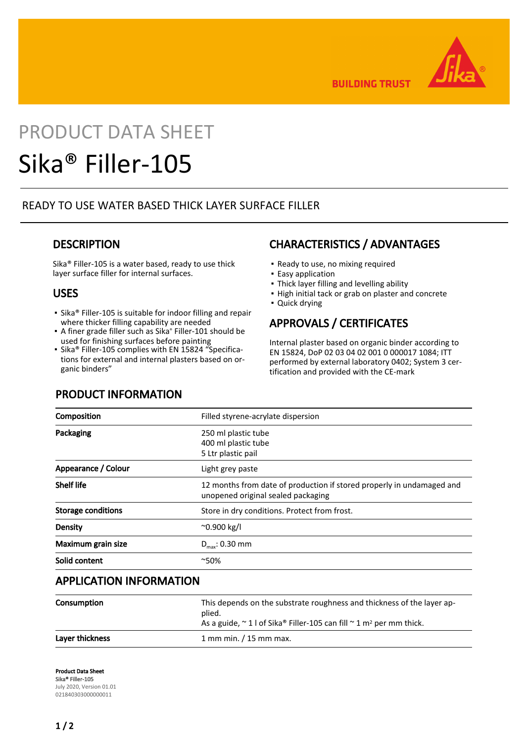

**BUILDING TRUST** 

# PRODUCT DATA SHEET Sika® Filler-105

## READY TO USE WATER BASED THICK LAYER SURFACE FILLER

## **DESCRIPTION**

Sika® Filler-105 is a water based, ready to use thick layer surface filler for internal surfaces.

## USES

- Sika® Filler-105 is suitable for indoor filling and repair where thicker filling capability are needed
- A finer grade filler such as Sika® Filler-101 should be used for finishing surfaces before painting
- Sika® Filler-105 complies with EN 15824 "Specifications for external and internal plasters based on organic binders"

## CHARACTERISTICS / ADVANTAGES

- Ready to use, no mixing required
- **Easy application**
- Thick layer filling and levelling ability
- High initial tack or grab on plaster and concrete
- Quick drying

# APPROVALS / CERTIFICATES

Internal plaster based on organic binder according to EN 15824, DoP 02 03 04 02 001 0 000017 1084; ITT performed by external laboratory 0402; System 3 certification and provided with the CE-mark

|  | <b>PRODUCT INFORMATION</b> |  |
|--|----------------------------|--|
|--|----------------------------|--|

| Composition               | Filled styrene-acrylate dispersion                                                                          |
|---------------------------|-------------------------------------------------------------------------------------------------------------|
| Packaging                 | 250 ml plastic tube<br>400 ml plastic tube<br>5 Ltr plastic pail                                            |
| Appearance / Colour       | Light grey paste                                                                                            |
| <b>Shelf life</b>         | 12 months from date of production if stored properly in undamaged and<br>unopened original sealed packaging |
| <b>Storage conditions</b> | Store in dry conditions. Protect from frost.                                                                |
| Density                   | $^{\sim}$ 0.900 kg/l                                                                                        |
| Maximum grain size        | $D_{\text{max}}$ : 0.30 mm                                                                                  |
| Solid content             | $^{\sim}50\%$                                                                                               |

## APPLICATION INFORMATION

| Consumption     | This depends on the substrate roughness and thickness of the layer ap-<br>plied.<br>As a guide, $\sim$ 1 l of Sika® Filler-105 can fill $\sim$ 1 m <sup>2</sup> per mm thick. |
|-----------------|-------------------------------------------------------------------------------------------------------------------------------------------------------------------------------|
| Laver thickness | $1$ mm min. $/15$ mm max.                                                                                                                                                     |

Product Data Sheet Sika® Filler-105 July 2020, Version 01.01 021840303000000011